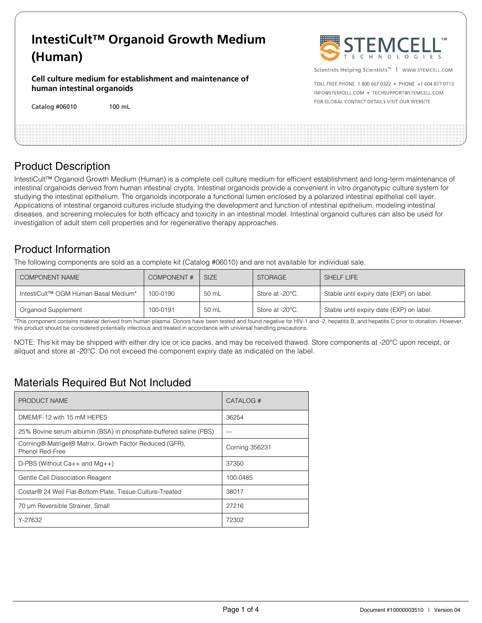# **IntestiCult™ Organoid Growth Medium (Human)**

**Cell culture medium for establishment and maintenance of human intestinal organoids** 

Catalog #06010 100 mL



Scientists Helping Scientists™ | WWW.STEMCELL.COM

TOLL FREE PHONE 1 800 667 0322 . PHONE +1 604 877 0713 INFO@STEMCELL.COM . TECHSUPPORT@STEMCELL.COM FOR GLOBAL CONTACT DETAILS VISIT OUR WEBSITE

| <b>Product Description</b> |  |  |
|----------------------------|--|--|

IntestiCult™ Organoid Growth Medium (Human) is a complete cell culture medium for efficient establishment and long-term maintenance of intestinal organoids derived from human intestinal crypts. Intestinal organoids provide a convenient in vitro organotypic culture system for studying the intestinal epithelium. The organoids incorporate a functional lumen enclosed by a polarized intestinal epithelial cell layer. Applications of intestinal organoid cultures include studying the development and function of intestinal epithelium, modeling intestinal diseases, and screening molecules for both efficacy and toxicity in an intestinal model. Intestinal organoid cultures can also be used for investigation of adult stem cell properties and for regenerative therapy approaches.

## Product Information

The following components are sold as a complete kit (Catalog #06010) and are not available for individual sale.

| <b>COMPONENT NAME</b>                | <b>COMPONENT#</b> | SIZE  | <b>STORAGE</b>  | SHELF LIFE                               |
|--------------------------------------|-------------------|-------|-----------------|------------------------------------------|
| IntestiCult™ OGM Human Basal Medium* | 100-0190          | 50 mL | Store at -20°C. | Stable until expiry date (EXP) on label. |
| Organoid Supplement                  | 100-0191          | 50 mL | Store at -20°C. | Stable until expiry date (EXP) on label. |

\*This component contains material derived from human plasma. Donors have been tested and found negative for HIV-1 and -2, hepatitis B, and hepatitis C prior to donation. However, this product should be considered potentially infectious and treated in accordance with universal handling precautions.

NOTE: This kit may be shipped with either dry ice or ice packs, and may be received thawed. Store components at -20°C upon receipt, or aliquot and store at -20°C. Do not exceed the component expiry date as indicated on the label.

## Materials Required But Not Included

| PRODUCT NAME                                                               | CATALOG #             |
|----------------------------------------------------------------------------|-----------------------|
| DMEM/F-12 with 15 mM HEPES                                                 | 36254                 |
| 25% Bovine serum albumin (BSA) in phosphate-buffered saline (PBS)          |                       |
| Corning® Matrigel® Matrix, Growth Factor Reduced (GFR),<br>Phenol Red-Free | <b>Corning 356231</b> |
| D-PBS (Without $Ca++$ and $Mq++$ )                                         | 37350                 |
| Gentle Cell Dissociation Reagent                                           | 100-0485              |
| Costar® 24 Well Flat-Bottom Plate, Tissue Culture-Treated                  | 38017                 |
| 70 um Reversible Strainer, Small                                           | 27216                 |
| Y-27632                                                                    | 72302                 |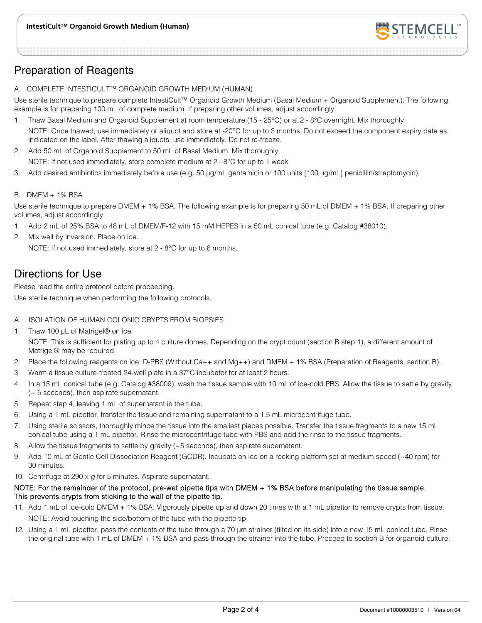

## Preparation of Reagents

A. COMPLETE INTESTICULT™ ORGANOID GROWTH MEDIUM (HUMAN)

Use sterile technique to prepare complete IntestiCult™ Organoid Growth Medium (Basal Medium + Organoid Supplement). The following example is for preparing 100 mL of complete medium. If preparing other volumes, adjust accordingly.

- 1. Thaw Basal Medium and Organoid Supplement at room temperature (15 25°C) or at 2 8°C overnight. Mix thoroughly. NOTE: Once thawed, use immediately or aliquot and store at -20°C for up to 3 months. Do not exceed the component expiry date as indicated on the label. After thawing aliquots, use immediately. Do not re-freeze.
- 2. Add 50 mL of Organoid Supplement to 50 mL of Basal Medium. Mix thoroughly. NOTE: If not used immediately, store complete medium at 2 - 8°C for up to 1 week.
- 3. Add desired antibiotics immediately before use (e.g. 50 μg/mL gentamicin or 100 units [100 μg/mL] penicillin/streptomycin).

#### B. DMEM + 1% BSA

Use sterile technique to prepare DMEM + 1% BSA. The following example is for preparing 50 mL of DMEM + 1% BSA. If preparing other volumes, adjust accordingly.

- 1. Add 2 mL of 25% BSA to 48 mL of DMEM/F-12 with 15 mM HEPES in a 50 mL conical tube (e.g. Catalog #38010).
- 2. Mix well by inversion. Place on ice.

NOTE: If not used immediately, store at 2 - 8°C for up to 6 months.

## Directions for Use

Please read the entire protocol before proceeding.

Use sterile technique when performing the following protocols.

#### A. ISOLATION OF HUMAN COLONIC CRYPTS FROM BIOPSIES

1. Thaw 100 μL of Matrigel® on ice.

NOTE: This is sufficient for plating up to 4 culture domes. Depending on the crypt count (section B step 1), a different amount of Matrigel® may be required.

- 2. Place the following reagents on ice: D-PBS (Without Ca++ and Mg++) and DMEM + 1% BSA (Preparation of Reagents, section B).
- 3. Warm a tissue culture-treated 24-well plate in a 37°C incubator for at least 2 hours.
- 4. In a 15 mL conical tube (e.g. Catalog #38009), wash the tissue sample with 10 mL of ice-cold PBS. Allow the tissue to settle by gravity (~ 5 seconds), then aspirate supernatant.
- 5. Repeat step 4, leaving 1 mL of supernatant in the tube.
- 6. Using a 1 mL pipettor, transfer the tissue and remaining supernatant to a 1.5 mL microcentrifuge tube.
- 7. Using sterile scissors, thoroughly mince the tissue into the smallest pieces possible. Transfer the tissue fragments to a new 15 mL conical tube using a 1 mL pipettor. Rinse the microcentrifuge tube with PBS and add the rinse to the tissue fragments.
- 8. Allow the tissue fragments to settle by gravity (~5 seconds), then aspirate supernatant.
- 9. Add 10 mL of Gentle Cell Dissociation Reagent (GCDR). Incubate on ice on a rocking platform set at medium speed (~40 rpm) for 30 minutes.
- 10. Centrifuge at 290  $\times$  g for 5 minutes. Aspirate supernatant.

#### NOTE: For the remainder of the protocol, pre-wet pipette tips with DMEM + 1% BSA before manipulating the tissue sample. This prevents crypts from sticking to the wall of the pipette tip.

- 11. Add 1 mL of ice-cold DMEM + 1% BSA. Vigorously pipette up and down 20 times with a 1 mL pipettor to remove crypts from tissue. NOTE: Avoid touching the side/bottom of the tube with the pipette tip.
- 12. Using a 1 mL pipettor, pass the contents of the tube through a 70 μm strainer (tilted on its side) into a new 15 mL conical tube. Rinse the original tube with 1 mL of DMEM + 1% BSA and pass through the strainer into the tube. Proceed to section B for organoid culture.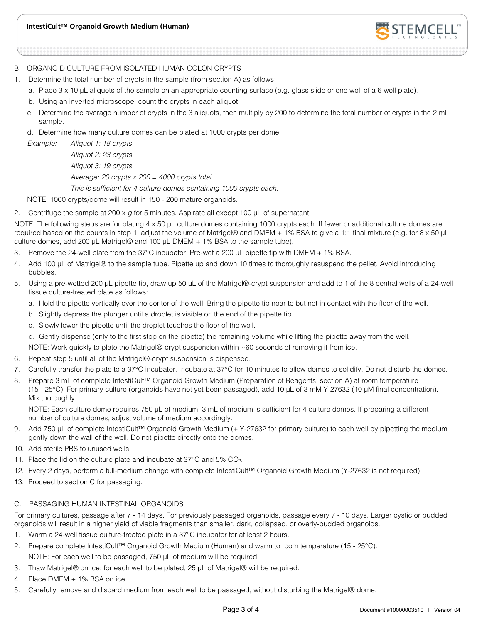

#### B. ORGANOID CULTURE FROM ISOLATED HUMAN COLON CRYPTS

- 1. Determine the total number of crypts in the sample (from section A) as follows:
	- a. Place 3 x 10 μL aliquots of the sample on an appropriate counting surface (e.g. glass slide or one well of a 6-well plate).
	- b. Using an inverted microscope, count the crypts in each aliquot.
	- c. Determine the average number of crypts in the 3 aliquots, then multiply by 200 to determine the total number of crypts in the 2 mL sample.
	- d. Determine how many culture domes can be plated at 1000 crypts per dome.

Example: Aliquot 1: 18 crypts Aliquot 2: 23 crypts

Aliquot 3: 19 crypts

Average: 20 crypts x 200 = 4000 crypts total

This is sufficient for 4 culture domes containing 1000 crypts each.

NOTE: 1000 crypts/dome will result in 150 - 200 mature organoids.

2. Centrifuge the sample at 200 x  $q$  for 5 minutes. Aspirate all except 100  $\mu$ L of supernatant.

NOTE: The following steps are for plating 4 x 50 μL culture domes containing 1000 crypts each. If fewer or additional culture domes are required based on the counts in step 1, adjust the volume of Matrigel® and DMEM + 1% BSA to give a 1:1 final mixture (e.g. for 8 x 50 μL culture domes, add 200 μL Matrigel® and 100 μL DMEM + 1% BSA to the sample tube).

- 3. Remove the 24-well plate from the 37°C incubator. Pre-wet a 200 μL pipette tip with DMEM + 1% BSA.
- 4. Add 100 μL of Matrigel® to the sample tube. Pipette up and down 10 times to thoroughly resuspend the pellet. Avoid introducing bubbles.
- 5. Using a pre-wetted 200 μL pipette tip, draw up 50 μL of the Matrigel®-crypt suspension and add to 1 of the 8 central wells of a 24-well tissue culture-treated plate as follows:
	- a. Hold the pipette vertically over the center of the well. Bring the pipette tip near to but not in contact with the floor of the well.
	- b. Slightly depress the plunger until a droplet is visible on the end of the pipette tip.
	- c. Slowly lower the pipette until the droplet touches the floor of the well.
	- d. Gently dispense (only to the first stop on the pipette) the remaining volume while lifting the pipette away from the well.

NOTE: Work quickly to plate the Matrigel®-crypt suspension within ~60 seconds of removing it from ice.

- 6. Repeat step 5 until all of the Matrigel®-crypt suspension is dispensed.
- 7. Carefully transfer the plate to a 37°C incubator. Incubate at 37°C for 10 minutes to allow domes to solidify. Do not disturb the domes.
- 8. Prepare 3 mL of complete IntestiCult™ Organoid Growth Medium (Preparation of Reagents, section A) at room temperature (15 - 25°C). For primary culture (organoids have not yet been passaged), add 10 μL of 3 mM Y-27632 (10 μM final concentration). Mix thoroughly.

NOTE: Each culture dome requires 750 μL of medium; 3 mL of medium is sufficient for 4 culture domes. If preparing a different number of culture domes, adjust volume of medium accordingly.

- 9. Add 750 μL of complete IntestiCult™ Organoid Growth Medium (+ Y-27632 for primary culture) to each well by pipetting the medium gently down the wall of the well. Do not pipette directly onto the domes.
- 10. Add sterile PBS to unused wells.
- 11. Place the lid on the culture plate and incubate at 37°C and 5% CO2.
- 12. Every 2 days, perform a full-medium change with complete IntestiCult™ Organoid Growth Medium (Y-27632 is not required).
- 13. Proceed to section C for passaging.

#### C. PASSAGING HUMAN INTESTINAL ORGANOIDS

For primary cultures, passage after 7 - 14 days. For previously passaged organoids, passage every 7 - 10 days. Larger cystic or budded organoids will result in a higher yield of viable fragments than smaller, dark, collapsed, or overly-budded organoids.

- 1. Warm a 24-well tissue culture-treated plate in a 37°C incubator for at least 2 hours.
- 2. Prepare complete IntestiCult™ Organoid Growth Medium (Human) and warm to room temperature (15 25°C).
	- NOTE: For each well to be passaged, 750 μL of medium will be required.
- 3. Thaw Matrigel® on ice; for each well to be plated, 25 μL of Matrigel® will be required.
- 4. Place DMEM + 1% BSA on ice.
- 5. Carefully remove and discard medium from each well to be passaged, without disturbing the Matrigel® dome.